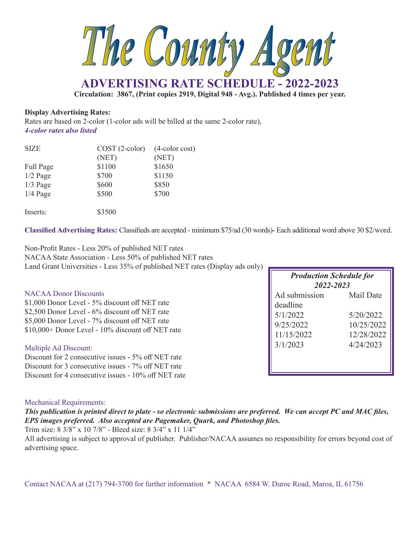

**Circulation: 3867, (Print copies 2919, Digital 948 - Avg.). Published 4 times per year.**

### **Display Advertising Rates:**

Rates are based on 2-color (1-color ads will be billed at the same 2-color rate), *4-color rates also listed*

| <b>SIZE</b> | $COST (2-color)$ | $(4$ -color cost) |
|-------------|------------------|-------------------|
|             | (NET)            | (NET)             |
| Full Page   | \$1100           | \$1650            |
| $1/2$ Page  | \$700            | \$1150            |
| $1/3$ Page  | \$600            | \$850             |
| $1/4$ Page  | \$500            | \$700             |
| Inserts:    | \$3500           |                   |

**Classified Advertising Rates:** Classifieds are accepted - minimum \$75/ad (30 words)- Each additional word above 30 \$2/word.

Non-Profit Rates - Less 20% of published NET rates NACAA State Association - Less 50% of published NET rates Land Grant Universities - Less 35% of published NET rates (Display ads only)

| <b>NACAA Donor Discounts</b>                      |
|---------------------------------------------------|
| \$1,000 Donor Level - 5% discount off NET rate    |
| \$2,500 Donor Level - 6% discount off NET rate    |
| \$5,000 Donor Level - 7% discount off NET rate    |
| \$10,000+ Donor Level - 10% discount off NET rate |
|                                                   |

### Multiple Ad Discount:

Discount for 2 consecutive issues - 5% off NET rate Discount for 3 consecutive issues - 7% off NET rate Discount for 4 consecutive issues - 10% off NET rate

| <b>Production Schedule for</b><br>2022-2023 |            |  |  |
|---------------------------------------------|------------|--|--|
| Ad submission                               | Mail Date  |  |  |
| deadline                                    |            |  |  |
| 5/1/2022                                    | 5/20/2022  |  |  |
| 9/25/2022                                   | 10/25/2022 |  |  |
| 11/15/2022                                  | 12/28/2022 |  |  |
| 3/1/2023                                    | 4/24/2023  |  |  |
|                                             |            |  |  |
|                                             |            |  |  |

#### Mechanical Requirements:

*This publication is printed direct to plate - so electronic submissions are preferred. We can accept PC and MAC files, EPS images preferred. Also accepted are Pagemaker, Quark, and Photoshop files.*

Trim size: 8 3/8" x 10 7/8" - Bleed size: 8 3/4" x 11 1/4"

All advertising is subject to approval of publisher. Publisher/NACAA assumes no responsibility for errors beyond cost of advertising space.

Contact NACAA at (217) 794-3700 for further information \* NACAA 6584 W. Duroc Road, Maroa, IL 61756